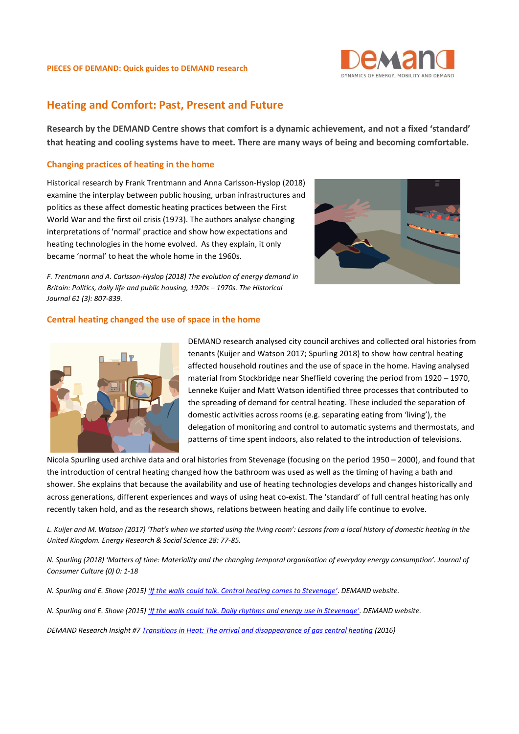

#### **PIECES OF DEMAND: Quick guides to DEMAND research**

# **Heating and Comfort: Past, Present and Future**

**Research by the DEMAND Centre shows that comfort is a dynamic achievement, and not a fixed 'standard' that heating and cooling systems have to meet. There are many ways of being and becoming comfortable.** 

## **Changing practices of heating in the home**

Historical research by Frank Trentmann and Anna Carlsson-Hyslop (2018) examine the interplay between public housing, urban infrastructures and politics as these affect domestic heating practices between the First World War and the first oil crisis (1973). The authors analyse changing interpretations of 'normal' practice and show how expectations and heating technologies in the home evolved. As they explain, it only became 'normal' to heat the whole home in the 1960s.



*F. Trentmann and A. Carlsson-Hyslop (2018) The evolution of energy demand in Britain: Politics, daily life and public housing, 1920s - 1970s. The Historical Journal 61 (3): 807-839.* 

### **Central heating changed the use of space in the home**



DEMAND research analysed city council archives and collected oral histories from tenants (Kuijer and Watson 2017; Spurling 2018) to show how central heating affected household routines and the use of space in the home. Having analysed material from Stockbridge near Sheffield covering the period from 1920 – 1970, Lenneke Kuijer and Matt Watson identified three processes that contributed to the spreading of demand for central heating. These included the separation of domestic activities across rooms (e.g. separating eating from 'living'), the delegation of monitoring and control to automatic systems and thermostats, and patterns of time spent indoors, also related to the introduction of televisions.

Nicola Spurling used archive data and oral histories from Stevenage (focusing on the period 1950 – 2000), and found that the introduction of central heating changed how the bathroom was used as well as the timing of having a bath and shower. She explains that because the availability and use of heating technologies develops and changes historically and across generations, different experiences and ways of using heat co-exist. The 'standard' of full central heating has only recently taken hold, and as the research shows, relations between heating and daily life continue to evolve.

*L. Kuijer and M. Watson (2017) 'That's when we started using the living room': Lessons from a local history of domestic heating in the United Kingdom. Energy Research & Social Science 28: 77-85.*

*N. Spurling (2018) 'Matters of time: Materiality and the changing temporal organisation of everyday energy consumption'. Journal of Consumer Culture (0) 0: 1-18*

*N. Spurling and E. Shove (2015) ['If the walls could talk. Central heating comes to Stevenage'](http://www.demand.ac.uk/wp-content/uploads/2015/11/FINAL_ifwallscouldtalkTWO.pdf)*. *DEMAND website.*

*N. Spurling and E. Shove (2015) ['If the walls could talk. Daily rhythms and energy use in Stevenage'](http://www.demand.ac.uk/wp-content/uploads/2015/11/FINAL_ifwallscouldtalkONE.pdf). DEMAND website.* 

*DEMAND Research Insight #[7 Transitions](http://www.demand.ac.uk/wp-content/uploads/2016/10/DEMAND-insight-7.pdf) in Heat: The arrival and disappearance of gas central heating (2016)*